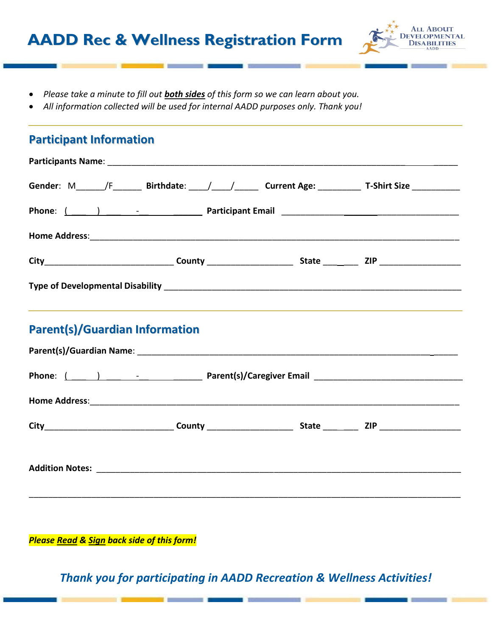

- x *Please take a minute to fill out both sides of this form so we can learn about you.*
- x *All information collected will be used for internal AADD purposes only. Thank you!*

## **Participant Information**

|  |  |  |                                                                                                                       | Gender: M______/F________ Birthdate: ____/______/________ Current Age: _____________________________ |  |  |  |  |
|--|--|--|-----------------------------------------------------------------------------------------------------------------------|------------------------------------------------------------------------------------------------------|--|--|--|--|
|  |  |  | Phone: ( ) 2008 Participant Email 2008 Phone: ( 2008 Phone: 2008 Participant Email 2008 Phone: 2008 Participant Email |                                                                                                      |  |  |  |  |
|  |  |  |                                                                                                                       |                                                                                                      |  |  |  |  |
|  |  |  |                                                                                                                       |                                                                                                      |  |  |  |  |
|  |  |  |                                                                                                                       |                                                                                                      |  |  |  |  |

## **Parent(s)/Guardian Information**

*Please Read & Sign back side of this form!*

*Thank you for participating in AADD Recreation & Wellness Activities!*